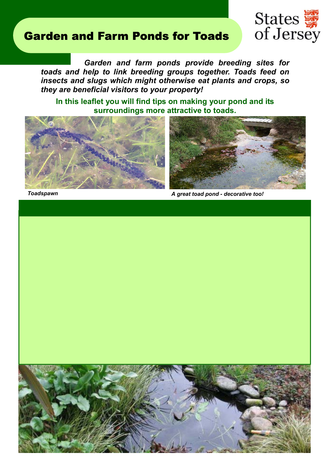## Garden and Farm Ponds for Toads



 *Garden and farm ponds provide breeding sites for toads and help to link breeding groups together. Toads feed on insects and slugs which might otherwise eat plants and crops, so they are beneficial visitors to your property!* 

**In this leaflet you will find tips on making your pond and its surroundings more attractive to toads.** 





*Toadspawn A great toad pond - decorative too!*